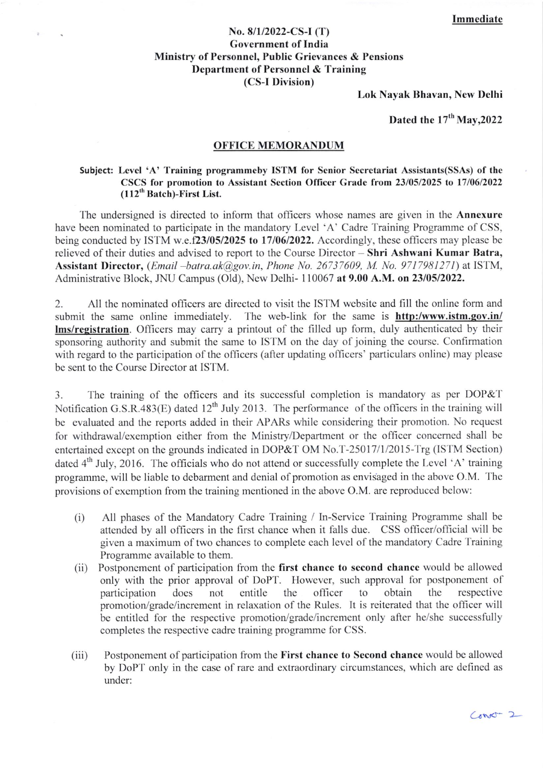## No. 8/l/2022-CS-l (T) Govcrnment of India Ministry of Personnel, Public Grievances & Pensions Department of Personnel & Training (CS-I Division)

Lok Nayak Bhavan, New Delhi

Dated the  $17<sup>th</sup>$  May, 2022

## OFFICE MEMORANDUM

## Subject: Level 'A' Training programmeby ISTM for Senior Secretariat Assistants(SSAs) of the CSCS for promotion to Assistant Scction Officcr Gradc from 23105/2025 to 17106/2022  $(112<sup>th</sup> Batch)$ -First List.

The undersigned is directed to inform that officers whose names are given in the Annexure have been nominated to participate in the mandatory Level 'A' Cadre Training Programme of CSS, being conducted by ISTM w.e.f23/05/2025 to 17/06/2022. Accordingly, these officers may please be relieved of their duties and advised to report to the Course Director - Shri Ashwani Kumar Batra, Assistant Director, (*Email -batra.ak@gov.in, Phone No. 26737609, M. No. 9717981271*) at ISTM, Administrative Block, JNU Campus (Old), New Delhi- 110067 at 9.00 A.M. on 23/05/2022.

2. All the nominated officers are directed to visit the ISTM website and fill the online form and submit the same online immediately. The web-link for the same is **http:/www.istm.gov.in/** lms/registration. Officers may carry a printout of the filled up form, duly authenticated by their sponsoring authority and submit the same to ISTM on the day of joining the course. Confirmation with regard to the participation of the officers (after updating officers' particulars online) may please bc sent to the Coursc Dircctor at ISTM.

3. The training of the officers and its successful completion is mandatory as per DOP&T Notification G.S.R.483(E) dated  $12<sup>th</sup>$  July 2013. The performance of the officers in the training will be evaluated and the reports added in their APARs while considering their promotion. No request for withdrawal/exemption either from the Ministry/Department or the officer concerned shall be entertained except on the grounds indicated in DOP&T OM No.T-25017/1/2015-Trg (ISTM Section) dated  $4<sup>th</sup>$  July, 2016. The officials who do not attend or successfully complete the Level 'A' training programme, will be liable to debarment and denial of promotion as envisaged in the above O.M. The provisions of exemption from the training mentioned in the above O.M. are reproduced below:

- (i) All phases of the Mandatory Cadre Training / In-Scrvice Training Programmc shall bc attended by all officers in the first chance when it falls due. CSS officer/official will be given a maximum of two chances to complete each level of the mandatory Cadre Training Programme available to them.
- (ii) Postponement of participation from the first chance to second chance would be allowed only with the prior approval of DoPT. However, such approval for postponement of participation does not entitle the officer to obtain the respective promotion/grade/increment in relaxation of the Rules. It is reiterated that the officer will be entitled for the respective promotion/grade/increment only after he/she successfully completes the respective cadrc training programme for CSS.
- (iii) Postponement of participation from the First chance to Second chance would be allowed by DoPT only in the case of rare and extraordinary circumstances, which are defined as under:

 $CovC-2$